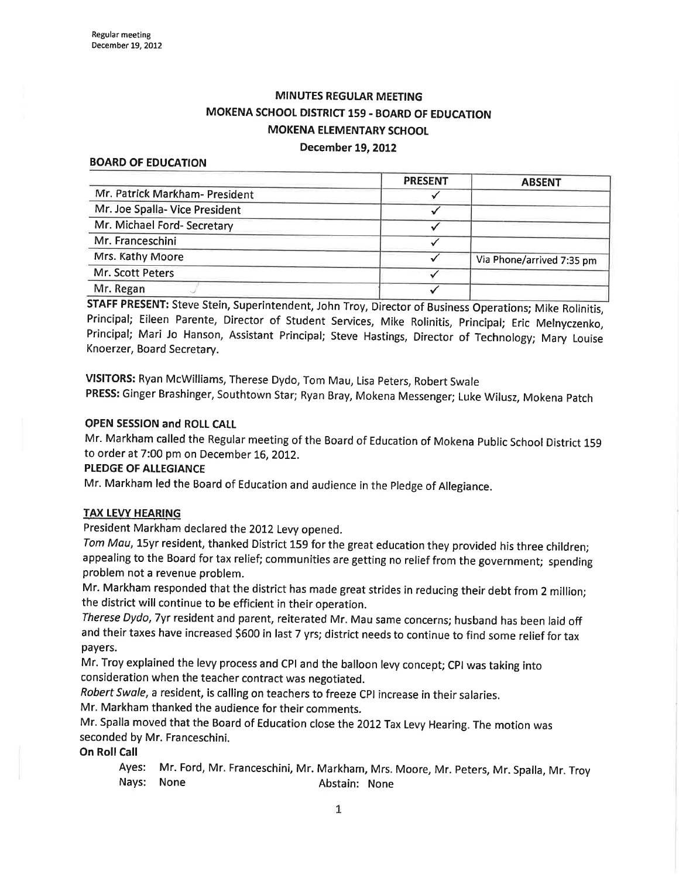# MINUTES REGULAR MEETING MOKENA SCHOOL DISTRICT 159. BOARD OF EDUCATION MOKENA ELEMENTARY SCHOOL

#### December 19, 2012

#### BOARD OF EDUCATION

|                                | <b>PRESENT</b> | <b>ABSENT</b>             |
|--------------------------------|----------------|---------------------------|
| Mr. Patrick Markham- President |                |                           |
| Mr. Joe Spalla- Vice President |                |                           |
| Mr. Michael Ford- Secretary    |                |                           |
| Mr. Franceschini               |                |                           |
| Mrs. Kathy Moore               |                | Via Phone/arrived 7:35 pm |
| Mr. Scott Peters               |                |                           |
| Mr. Regan                      |                |                           |

STAFF PRESENT: Steve Stein, Superintendent, John Troy, Director of Business Operations; Mike Rolinitis, Principal; Eileen Parente, Director of Student Services, Mike Rolinitis, principal; Eric Melnyczenko, Principal; Mari Jo Hanson, Assistant Principal; Steve Hastings, Director of Technology; Mary Louise Knoerzer, Board Secretary.

vlslroRS: Ryan Mcwilliams, Therese Dydo, Tom Mau, Lisa peters, Robert swale PRESS: Ginger Brashinger, Southtown Star; Ryan Bray, Mokena Messenger; Luke Wilusz, Mokena patch

#### OPEN SESSION and ROLL CALL

Mr. Markham called the Regular meeting of the Board of Education of Mokena public School District <sup>159</sup> to order at 7:00 pm on December 16,2OI2.

#### PLEDGE OF ALLEGIANCE

Mr. Markham led the Board of Education and audience in the Pledge of Allegiance.

#### TAX LEVY HEARING

President Markham declared the 2012 Levy opened.

Tom Mau, 15yr resident, thanked District 159 for the great education they provided his three children; appealing to the Board for tax relief; communities are getting no relief from the government; spending problem not a revenue problem.

Mr. Markham responded that the district has made great strides in reducing their debt from 2 million; the district will continue to be efficient in their operation.

Therese Dydo, 7yr resident and parent, reiterated Mr. Mau same concerns; husband has been laid off and their taxes have increased \$600 in last 7 yrs; district needs to continue to find some relief for tax payers.

Mr. Troy explained the levy process and CPI and the balloon levy concept; CPI was taking into consideration when the teacher contract was negotjated.

Robert Swale, a resident, is calling on teachers to freeze CPI increase in their salaries.

Mr. Markham thanked the audience for their comments.

Mr. Spalla moved that the Board of Education close the 2012 Tax Levy Hearing. The motion was seconded by Mr. Franceschini.

On Roll Call

Ayes: Mr. Ford, Mr. Franceschini, Mr. Markham, Mrs. Moore, Mr. Peters, Mr. Spalla, Mr. Troy Nays: None Abstain: None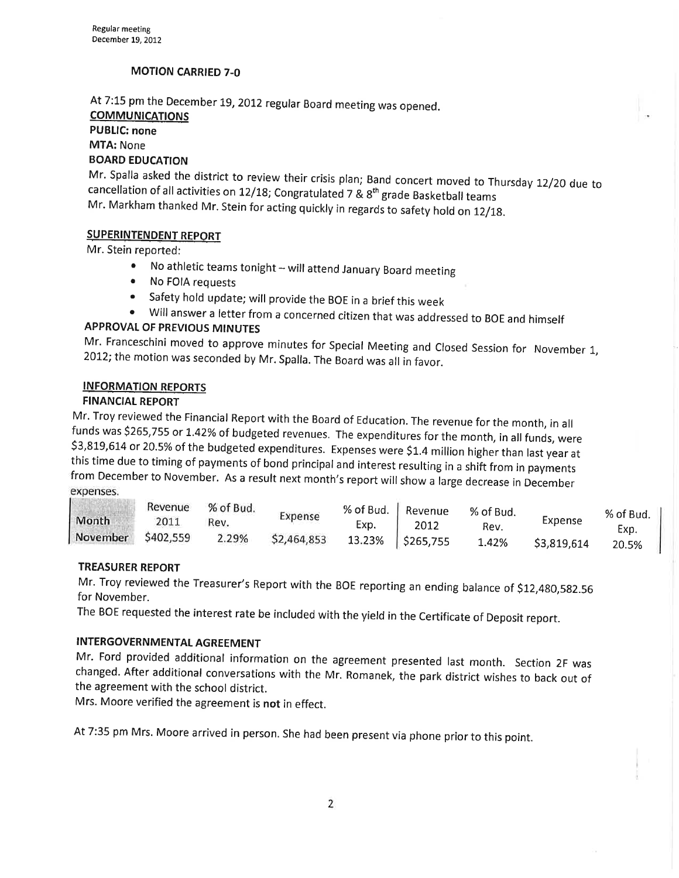### MOTION CARRIED 7-O

At 7:15 pm the December 19, 2012 regular Board meeting was opened.

# **COMMUNICATIONS**

# PUBLIC: none

MTA: None

# BOARD EDUCATION

Mr. Spalla asked the district to review their crisis plan; Band concert moved to Thursday 12/20 due to cancellation of all activities on 12/18; Congratulated 7 &  $8<sup>th</sup>$  grade Basketball teams Mr. Markham thanked Mr. Stein for acting quickly in regards to safety hold on 12/18.

#### SUPERINTENDENT REPORT

Mr. Stein reported:

- No athletic teams tonight  $-$  will attend January Board meeting <br>• No FOIA requests
- 
- Safety hold update; will provide the BOE in a brief this week
- <sup>o</sup>Wíll answer a letter from a concerned citizen that was addressed to BoE and himself APPROVAT OF PREVIOUS MINUTES

Mr. Franceschini moved to approve minutes for Special Meeting and Closed Session for November 1, 2012; the motion was seconded by Mr. Spalla. The Board was all in favor.

#### INFORMATION REPORTS

FINANCIAL REPORT<br>Mr. Troy reviewed the Financial Report with the Board of Education. The revenue for the month, in all funds was \$265,755 or 1.42% of budgeted revenues. The expenditures for the month, in all funds, were \$3,819,614 or 20.5% of the budgeted expenditures. Expenses were \$1.4 million higher than last year at this time due to timing of payments of bond principal and interest resulting in a shift from in payments from December to November. As a result next month's report will show a large decrease in December expenses.

| Month    | Revenue<br>2011 | % of Bud.<br>Rev. | Expense     | % of Bud.<br>Exp. | Revenue<br>2012    | % of Bud.<br>Rev. | Expense     | % of Bud.     |
|----------|-----------------|-------------------|-------------|-------------------|--------------------|-------------------|-------------|---------------|
| November | \$402,559       | 2.29%             | \$2,464,853 |                   | 13.23%   \$265,755 | 1.42%             | \$3,819,614 | Exp.<br>20.5% |
|          |                 |                   |             |                   |                    |                   |             |               |

### TREASURER REPORT

for November. Mr. Troy reviewed the Treasurer's Report with the BOE reporting an ending balance of \$12,480,582.56

The BOE requested the interest rate be included with the yield in the Certificate of Deposit report.

## INTERGOVERNMENTAL AGREEMENT

Mr. Ford provided additional information on the agreement presented last month. Section 2F was changed. After additional conversations with the Mr. Romanek, the park district wishes to back out of the agreement with the school district.

Mrs. Moore verified the agreement is not in effect.

At 7:35 pm Mrs. Moore arrived in person. She had been present via phone prior to this point.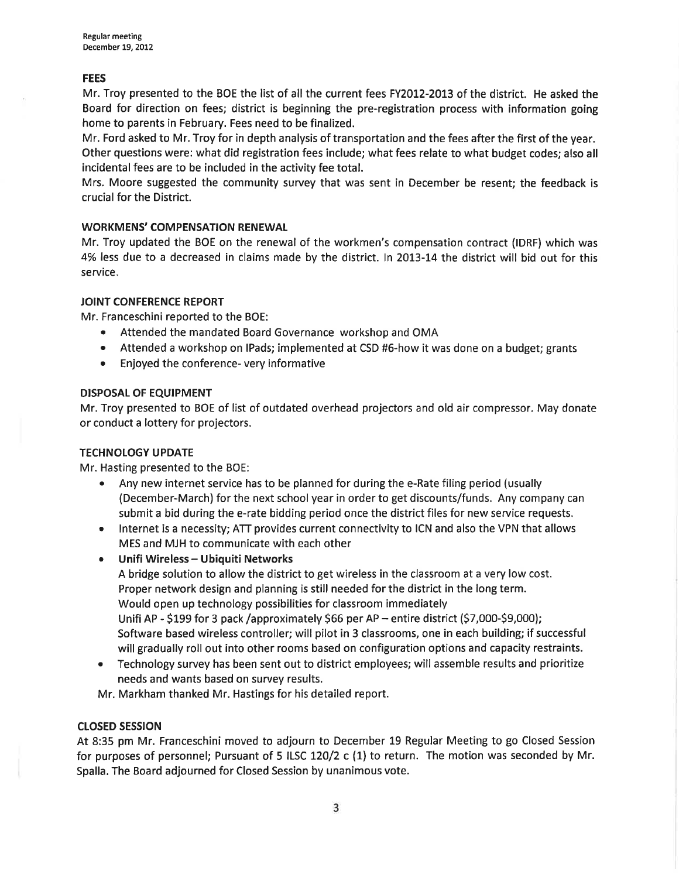#### **FEES**

Mr. Troy presented to the BOE the list of all the current fees FY2012-2013 of the district. He asked the Board for direction on fees; district is beginning the pre-registration process with information going home to parents in February. Fees need to be finalized.

Mr. Ford asked to Mr. Troy for in depth analysis of transportation and the fees after the first of the year. Other questions were: what did registration fees include; what fees relate to what budget codes; also all incidental fees are to be included in the activity fee total.

Mrs. Moore suggested the community survey that was sent in December be resent; the feedback is crucial for the District.

#### WORKMENS' COMPENSATION RENEWAL

Mr. Troy updated the BOE on the renewal of the workmen's compensation contract (IDRF) which was 4% less due to a decreased in claims made by the district. In 2013-14 the district will bid out for this service.

#### JOINT CONFERENCE REPORT

Mr. Franceschini reported to the BOE:

- ¡ Attended the mandated Board Governance workshop and OMA
- Attended a workshop on IPads; implemented at CSD #6-how it was done on a budget; grants
- . Enjoyed the conference- very informative

#### DISPOSAL OF EQUIPMENT

Mr. Troy presented to BOE of list of outdated overhead projectors and old air compressor. May donate or conduct a lottery for projectors.

#### TECHNOLOGY UPDATE

Mr. Hasting presented to the BOE:

- . Any new internet service has to be planned for during the e-Rate filing period (usually (December-March) for the next school year in order to get discounts/funds. Any company can submit a bid during the e-rate bidding period once the district files for new service requests.
- Internet is a necessity; ATT provides current connectivity to ICN and also the VPN that allows MES and MJH to communicate with each other
- **•** Unifi Wireless Ubiquiti Networks A bridge solution to allow the district to get wireless in the classroom at a very low cost. Proper network design and planning is still needed for the district in the long term. Would open up technology possibilities for classroom immediately Unifi AP - \$199 for 3 pack /approximately \$66 per AP - entire district (\$7,000-\$9,000); Software based wireless controller; will pilot in 3 classrooms, one in each building; if successful will gradually roll out into other rooms based on configuration options and capacity restraints.
- Technology survey has been sent out to district employees; will assemble results and prioritize needs and wants based on survey results.

Mr. Markham thanked Mr. Hastings for his detailed report.

#### cLosED sEsstoN

At 8:35 pm Mr. Franceschini moved to adjourn to December 19 Regular Meeting to go Closed Session for purposes of personnel; Pursuant of 5 ILSC 120/2 c (1) to return. The motion was seconded by Mr. Spalla. The Board adjourned for Closed Session by unanimous vote.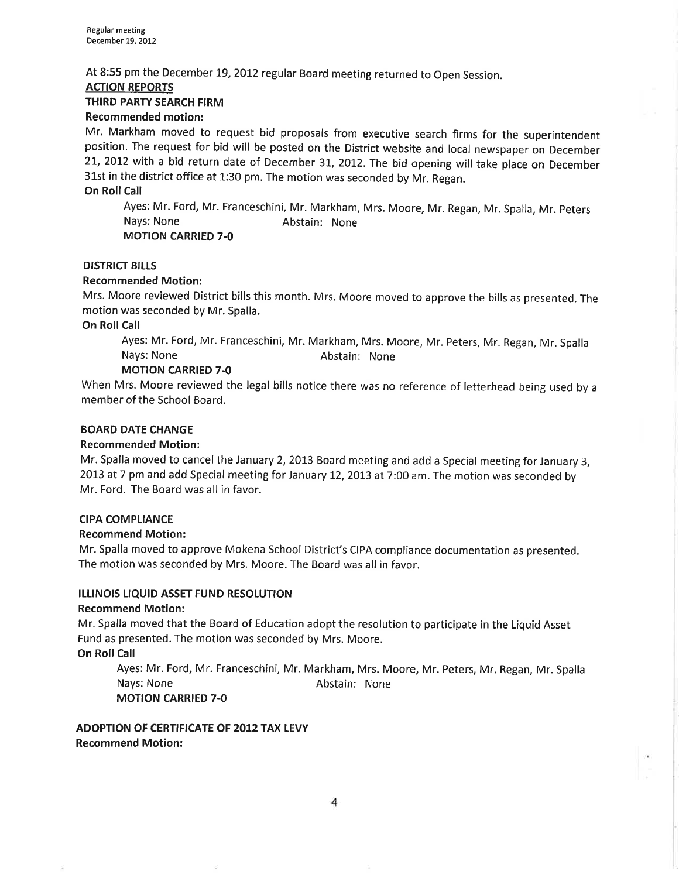At 8:55 pm the December L9,2OI2 regular Board meeting returned to Open Session.

#### ACTION REPORTS

#### THIRD PARTY SEARCH FIRM

#### Recommended motion:

Mr. Markham moved to request bid proposals from executive search firms for the superintendent position. The request for bid will be posted on the District website and local newspaper on December 21, 2012 with a bid return date of December 31, 2012. The bid opening will take place on December 31st in the district office at 1:30 pm. The motion was seconded by Mr. Regan.

On Roll Call

Ayes: Mr. Ford, Mr. Franceschini, Mr. Markham, Mrs. Moore, Mr. Regan, Mr. Spalla, Mr. Peters<br>Nays: None **Marking Abstain: None** Abstain: None MOTION CARRIED 7-O

#### DISTRICT BILLS

#### Recommended Motion:

Mrs. Moore reviewed District bills this month. Mrs. Moore moved to approve the bills as presented. The motion was seconded by Mr. Spalla.

On Roll Call

Ayes: Mr. Ford, Mr. Franceschini, Mr. Markham, Mrs. Moore, Mr. Peters, Mr. Regan, Mr. Spalla Nays: None **Abstain:** None

### MOTION CARRIED 7.0

When Mrs. Moore reviewed the legal bills notice there was no reference of letterhead being used by <sup>a</sup> member of the School Board.

#### BOARD DATE CHANGE

#### Recommended Motion:

Mr. Spalla moved to cancel the January 2, 2013 Board meeting and add a Special meeting for January 3, 2013 at 7 pm and add Special meeting for January 12,2013 at 7:00 am. The motion was seconded by Mr. Ford. The Board was all in favor.

#### CIPA COMPLIANCE

#### Recommend Motion:

Mr. Spalla moved to approve Mokena School District's CIPA compliance documentation as presented. The motion was seconded by Mrs. Moore. The Board was all in favor.

#### ILLINOIS LIQUID ASSET FUND RESOLUTION

#### Recommend Motion:

Mr. Spalla moved that the Board of Education adopt the resolution to participate in the Liquid Asset Fund as presented. The motion was seconded by Mrs. Moore.

**On Roll Call** 

Ayes: Mr. Ford, Mr. Franceschini, Mr. Markham, Mrs. Moore, Mr. Peters, Mr. Regan, Mr. Spalla Nays: None **Abstain:** None MOTION CARRIED 7-O

ADOPTION OF CERTIFICATE OF 2012 TAX LEVY Recommend Motion: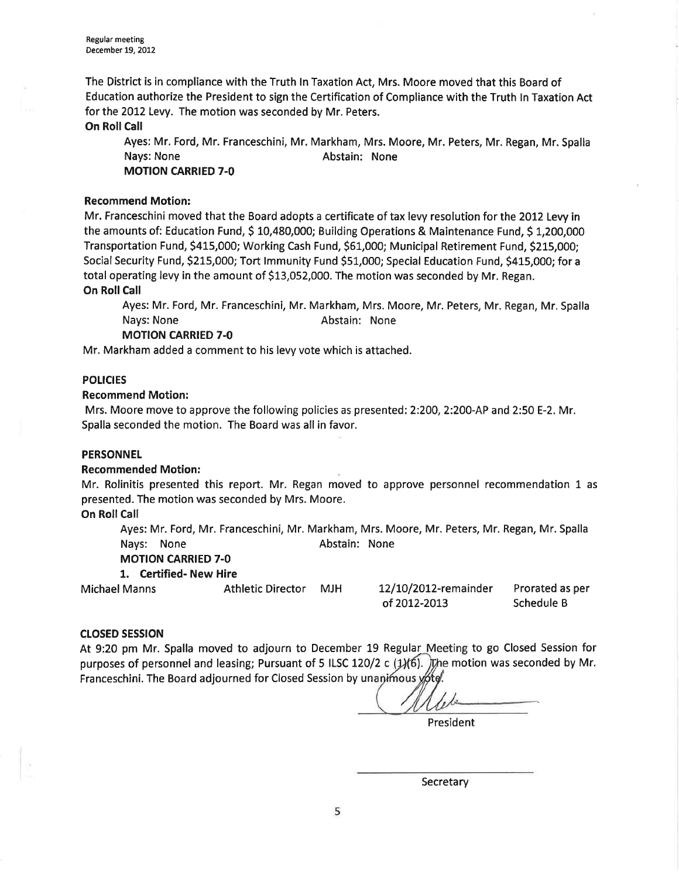The District is in compliance with the Truth ln Taxation Act, Mrs. Moore moved that this Board of Education authorize the President to sign the Certification of Compliance with the Truth ln Taxation Act for the 2012 Levy. The motion was seconded by Mr. Peters.

On Roll Call

Ayes: Mr. Ford, Mr. Franceschini, Mr. Markham, Mrs. Moore, Mr. Peters, Mr. Regan, Mr. Spalla Nays: None **Abstain:** None

MOTION CARRIED 7-O

#### Recommend Motion:

Mr. Franceschini moved that the Board adopts a certificate of tax levy resolution for the 2012 Levy in the amounts of: Education Fund, \$ 10,480,000; Building Operations & Maintenance Fund, \$ 1,200,000 Transportation Fund, \$415,000; Working Cash Fund, \$61,000; Municipal Retirement Fund, \$215,000; Social Security Fund, 5215,000; Tort lmmunity Fund SS1,OOO; Special Education Fund, 5415,000; for <sup>a</sup> total operating levy in the amount of S13,052,000. The motion was seconded by Mr. Regan. **On Roll Call** 

Ayes: Mr. Ford, Mr. Franceschini, Mr. Markham, Mrs. Moore, Mr. Peters, Mr. Regan, Mr. Spalla Nays: None **Abstain: None** Abstain: None

#### MOTION CARRIED 7.0

Mr. Markham added a comment to his levy vote which is attached.

#### **POLICIES**

#### Recommend Motion:

Mrs. Moore move to approve the following policies as presented: 2:200, 2:200-AP and 2:50 E-2. Mr. Spalla seconded the motion. The Board was all in favor.

#### PERSONNEL

#### Recommended Motion:

Mr. Rolinitis presented this report. Mr. Regan moved to approve personnel recommendation 1 as presented. The motion was seconded by Mrs. Moore.

#### On Roll Call

Ayes: Mr. Ford, Mr. Franceschini, Mr. Markham, Mrs. Moore, Mr. Peters, Mr. Regan, Mr. Spalla Nays: None Abstain: None

#### MOTION CARRIED 7.0

1. Certified- New Hire

Michael Manns

# Athletic Director MJH

| 12/10/2012-remainder | Prorated as per |
|----------------------|-----------------|
| of 2012-2013         | Schedule B      |

#### crosED sEsstoN

At 9:20 pm Mr. Spalla moved to adjourn to December 19 Regular Meeting to go Closed Session for purposes of personnel and leasing; Pursuant of 5 ILSC 120/2 c  $(1/6)$ . The motion was seconded by Mr. Franceschini. The Board adjourned for Closed Session by unanimous yote.

President

**Secretary**